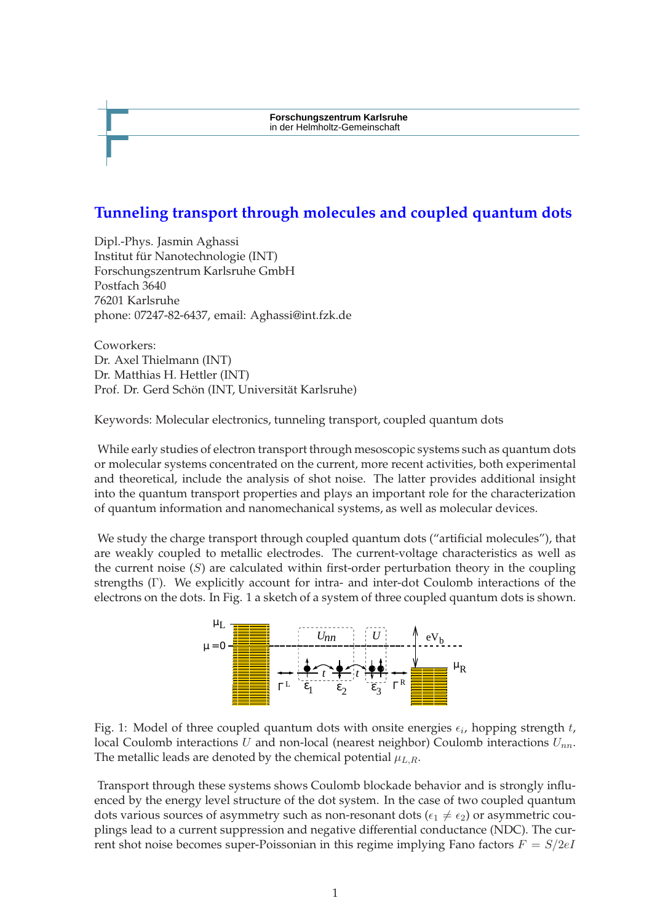**Forschungszentrum Karlsruhe** in der Helmholtz-Gemeinschaft

## **Tunneling transport through molecules and coupled quantum dots**

Dipl.-Phys. Jasmin Aghassi Institut für Nanotechnologie (INT) Forschungszentrum Karlsruhe GmbH Postfach 3640 76201 Karlsruhe phone: 07247-82-6437, email: Aghassi@int.fzk.de

Coworkers: Dr. Axel Thielmann (INT) Dr. Matthias H. Hettler (INT) Prof. Dr. Gerd Schön (INT, Universität Karlsruhe)

Keywords: Molecular electronics, tunneling transport, coupled quantum dots

While early studies of electron transport through mesoscopic systems such as quantum dots or molecular systems concentrated on the current, more recent activities, both experimental and theoretical, include the analysis of shot noise. The latter provides additional insight into the quantum transport properties and plays an important role for the characterization of quantum information and nanomechanical systems, as well as molecular devices.

We study the charge transport through coupled quantum dots ("artificial molecules"), that are weakly coupled to metallic electrodes. The current-voltage characteristics as well as the current noise  $(S)$  are calculated within first-order perturbation theory in the coupling strengths (Γ). We explicitly account for intra- and inter-dot Coulomb interactions of the electrons on the dots. In Fig. 1 a sketch of a system of three coupled quantum dots is shown.



Fig. 1: Model of three coupled quantum dots with onsite energies  $\epsilon_i$ , hopping strength t, local Coulomb interactions U and non-local (nearest neighbor) Coulomb interactions  $U_{nn}$ . The metallic leads are denoted by the chemical potential  $\mu_{L,R}$ .

Transport through these systems shows Coulomb blockade behavior and is strongly influenced by the energy level structure of the dot system. In the case of two coupled quantum dots various sources of asymmetry such as non-resonant dots ( $\epsilon_1 \neq \epsilon_2$ ) or asymmetric couplings lead to a current suppression and negative differential conductance (NDC). The current shot noise becomes super-Poissonian in this regime implying Fano factors  $F = S/2eI$